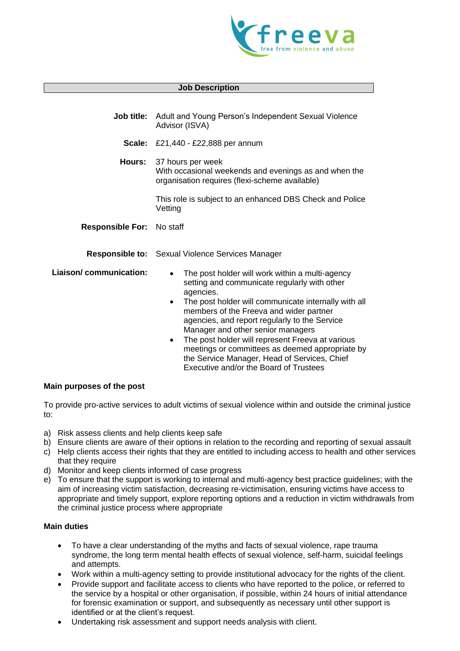

#### **Job Description**

|                                  | <b>Job title:</b> Adult and Young Person's Independent Sexual Violence<br>Advisor (ISVA)                                                                                                                                                                                                                                        |  |
|----------------------------------|---------------------------------------------------------------------------------------------------------------------------------------------------------------------------------------------------------------------------------------------------------------------------------------------------------------------------------|--|
|                                  | <b>Scale:</b> £21,440 - £22,888 per annum                                                                                                                                                                                                                                                                                       |  |
| Hours:                           | 37 hours per week<br>With occasional weekends and evenings as and when the<br>organisation requires (flexi-scheme available)                                                                                                                                                                                                    |  |
|                                  | This role is subject to an enhanced DBS Check and Police<br>Vetting                                                                                                                                                                                                                                                             |  |
| <b>Responsible For: No staff</b> |                                                                                                                                                                                                                                                                                                                                 |  |
|                                  | <b>Responsible to:</b> Sexual Violence Services Manager                                                                                                                                                                                                                                                                         |  |
| Liaison/communication:           | The post holder will work within a multi-agency<br>$\bullet$<br>setting and communicate regularly with other<br>agencies.<br>The post holder will communicate internally with all<br>$\bullet$<br>members of the Freeva and wider partner<br>agencies, and report regularly to the Service<br>Manager and other senior managers |  |

The post holder will represent Freeva at various meetings or committees as deemed appropriate by the Service Manager, Head of Services, Chief Executive and/or the Board of Trustees

### **Main purposes of the post**

To provide pro-active services to adult victims of sexual violence within and outside the criminal justice to:

- a) Risk assess clients and help clients keep safe
- b) Ensure clients are aware of their options in relation to the recording and reporting of sexual assault
- c) Help clients access their rights that they are entitled to including access to health and other services that they require
- d) Monitor and keep clients informed of case progress
- e) To ensure that the support is working to internal and multi-agency best practice guidelines; with the aim of increasing victim satisfaction, decreasing re-victimisation, ensuring victims have access to appropriate and timely support, explore reporting options and a reduction in victim withdrawals from the criminal justice process where appropriate

### **Main duties**

- To have a clear understanding of the myths and facts of sexual violence, rape trauma syndrome, the long term mental health effects of sexual violence, self-harm, suicidal feelings and attempts.
- Work within a multi-agency setting to provide institutional advocacy for the rights of the client.
- Provide support and facilitate access to clients who have reported to the police, or referred to the service by a hospital or other organisation, if possible, within 24 hours of initial attendance for forensic examination or support, and subsequently as necessary until other support is identified or at the client's request.
- Undertaking risk assessment and support needs analysis with client.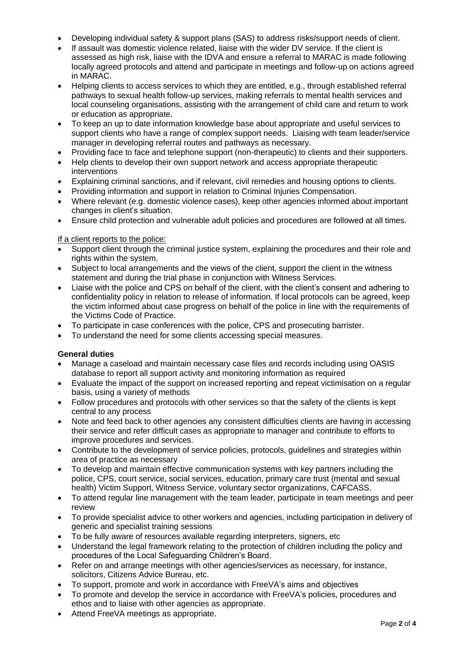- Developing individual safety & support plans (SAS) to address risks/support needs of client.
- If assault was domestic violence related, liaise with the wider DV service. If the client is assessed as high risk, liaise with the IDVA and ensure a referral to MARAC is made following locally agreed protocols and attend and participate in meetings and follow-up on actions agreed in MARAC.
- Helping clients to access services to which they are entitled, e.g., through established referral pathways to sexual health follow-up services, making referrals to mental health services and local counseling organisations, assisting with the arrangement of child care and return to work or education as appropriate.
- To keep an up to date information knowledge base about appropriate and useful services to support clients who have a range of complex support needs. Liaising with team leader/service manager in developing referral routes and pathways as necessary.
- Providing face to face and telephone support (non-therapeutic) to clients and their supporters.
- Help clients to develop their own support network and access appropriate therapeutic interventions
- Explaining criminal sanctions, and if relevant, civil remedies and housing options to clients.
- Providing information and support in relation to Criminal Injuries Compensation.
- Where relevant (e.g. domestic violence cases), keep other agencies informed about important changes in client's situation.
- Ensure child protection and vulnerable adult policies and procedures are followed at all times.

## If a client reports to the police:

- Support client through the criminal justice system, explaining the procedures and their role and rights within the system.
- Subject to local arrangements and the views of the client, support the client in the witness statement and during the trial phase in conjunction with Witness Services.
- Liaise with the police and CPS on behalf of the client, with the client's consent and adhering to confidentiality policy in relation to release of information. If local protocols can be agreed, keep the victim informed about case progress on behalf of the police in line with the requirements of the Victims Code of Practice.
- To participate in case conferences with the police, CPS and prosecuting barrister.
- To understand the need for some clients accessing special measures.

### **General duties**

- Manage a caseload and maintain necessary case files and records including using OASIS database to report all support activity and monitoring information as required
- Evaluate the impact of the support on increased reporting and repeat victimisation on a regular basis, using a variety of methods
- Follow procedures and protocols with other services so that the safety of the clients is kept central to any process
- Note and feed back to other agencies any consistent difficulties clients are having in accessing their service and refer difficult cases as appropriate to manager and contribute to efforts to improve procedures and services.
- Contribute to the development of service policies, protocols, guidelines and strategies within area of practice as necessary
- To develop and maintain effective communication systems with key partners including the police, CPS, court service, social services, education, primary care trust (mental and sexual health) Victim Support, Witness Service, voluntary sector organizations, CAFCASS.
- To attend regular line management with the team leader, participate in team meetings and peer review
- To provide specialist advice to other workers and agencies, including participation in delivery of generic and specialist training sessions
- To be fully aware of resources available regarding interpreters, signers, etc
- Understand the legal framework relating to the protection of children including the policy and procedures of the Local Safeguarding Children's Board.
- Refer on and arrange meetings with other agencies/services as necessary, for instance, solicitors, Citizens Advice Bureau, etc.
- To support, promote and work in accordance with FreeVA's aims and objectives
- To promote and develop the service in accordance with FreeVA's policies, procedures and ethos and to liaise with other agencies as appropriate.
- Attend FreeVA meetings as appropriate.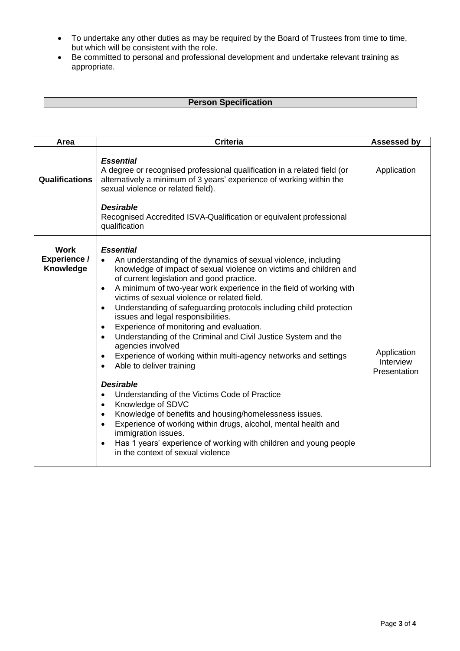- To undertake any other duties as may be required by the Board of Trustees from time to time, but which will be consistent with the role.
- Be committed to personal and professional development and undertake relevant training as appropriate.

# **Person Specification**

| Area                                            | <b>Criteria</b>                                                                                                                                                                                                                                                                                                                                                                                                                                                                                                                                                                                                                                                                                                                                                                                                                                                                                                                                                                                                                                                                                                                                                                 | <b>Assessed by</b>                       |
|-------------------------------------------------|---------------------------------------------------------------------------------------------------------------------------------------------------------------------------------------------------------------------------------------------------------------------------------------------------------------------------------------------------------------------------------------------------------------------------------------------------------------------------------------------------------------------------------------------------------------------------------------------------------------------------------------------------------------------------------------------------------------------------------------------------------------------------------------------------------------------------------------------------------------------------------------------------------------------------------------------------------------------------------------------------------------------------------------------------------------------------------------------------------------------------------------------------------------------------------|------------------------------------------|
| <b>Qualifications</b>                           | <b>Essential</b><br>A degree or recognised professional qualification in a related field (or<br>alternatively a minimum of 3 years' experience of working within the<br>sexual violence or related field).<br><b>Desirable</b><br>Recognised Accredited ISVA-Qualification or equivalent professional<br>qualification                                                                                                                                                                                                                                                                                                                                                                                                                                                                                                                                                                                                                                                                                                                                                                                                                                                          | Application                              |
| <b>Work</b><br><b>Experience /</b><br>Knowledge | <b>Essential</b><br>An understanding of the dynamics of sexual violence, including<br>$\bullet$<br>knowledge of impact of sexual violence on victims and children and<br>of current legislation and good practice.<br>A minimum of two-year work experience in the field of working with<br>$\bullet$<br>victims of sexual violence or related field.<br>Understanding of safeguarding protocols including child protection<br>$\bullet$<br>issues and legal responsibilities.<br>Experience of monitoring and evaluation.<br>$\bullet$<br>Understanding of the Criminal and Civil Justice System and the<br>$\bullet$<br>agencies involved<br>Experience of working within multi-agency networks and settings<br>Able to deliver training<br>$\bullet$<br><b>Desirable</b><br>Understanding of the Victims Code of Practice<br>$\bullet$<br>Knowledge of SDVC<br>$\bullet$<br>Knowledge of benefits and housing/homelessness issues.<br>$\bullet$<br>Experience of working within drugs, alcohol, mental health and<br>$\bullet$<br>immigration issues.<br>Has 1 years' experience of working with children and young people<br>$\bullet$<br>in the context of sexual violence | Application<br>Interview<br>Presentation |